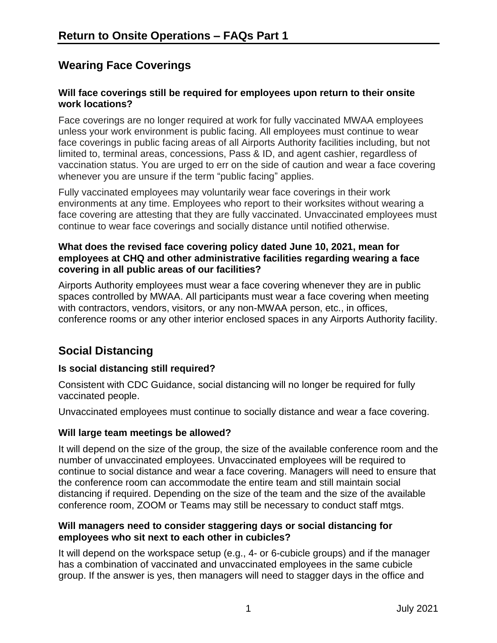## **Wearing Face Coverings**

### **Will face coverings still be required for employees upon return to their onsite work locations?**

Face coverings are no longer required at work for fully vaccinated MWAA employees unless your work environment is public facing. All employees must continue to wear face coverings in public facing areas of all Airports Authority facilities including, but not limited to, terminal areas, concessions, Pass & ID, and agent cashier, regardless of vaccination status. You are urged to err on the side of caution and wear a face covering whenever you are unsure if the term "public facing" applies.

Fully vaccinated employees may voluntarily wear face coverings in their work environments at any time. Employees who report to their worksites without wearing a face covering are attesting that they are fully vaccinated. Unvaccinated employees must continue to wear face coverings and socially distance until notified otherwise.

### **What does the revised face covering policy dated June 10, 2021, mean for employees at CHQ and other administrative facilities regarding wearing a face covering in all public areas of our facilities?**

Airports Authority employees must wear a face covering whenever they are in public spaces controlled by MWAA. All participants must wear a face covering when meeting with contractors, vendors, visitors, or any non-MWAA person, etc., in offices, conference rooms or any other interior enclosed spaces in any Airports Authority facility.

# **Social Distancing**

## **Is social distancing still required?**

Consistent with CDC Guidance, social distancing will no longer be required for fully vaccinated people.

Unvaccinated employees must continue to socially distance and wear a face covering.

## **Will large team meetings be allowed?**

It will depend on the size of the group, the size of the available conference room and the number of unvaccinated employees. Unvaccinated employees will be required to continue to social distance and wear a face covering. Managers will need to ensure that the conference room can accommodate the entire team and still maintain social distancing if required. Depending on the size of the team and the size of the available conference room, ZOOM or Teams may still be necessary to conduct staff mtgs.

## **Will managers need to consider staggering days or social distancing for employees who sit next to each other in cubicles?**

It will depend on the workspace setup (e.g., 4- or 6-cubicle groups) and if the manager has a combination of vaccinated and unvaccinated employees in the same cubicle group. If the answer is yes, then managers will need to stagger days in the office and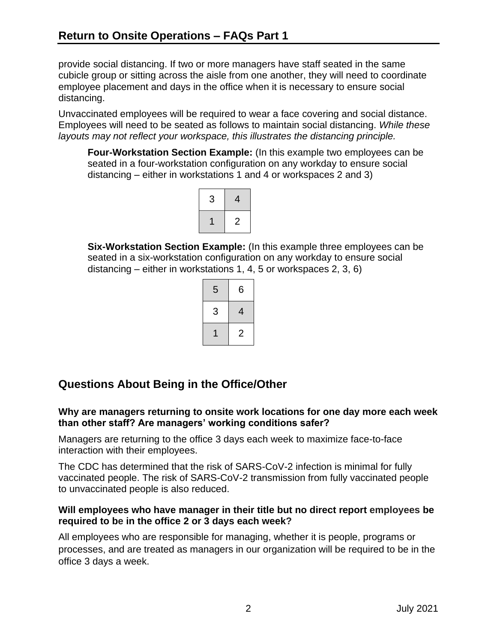provide social distancing. If two or more managers have staff seated in the same cubicle group or sitting across the aisle from one another, they will need to coordinate employee placement and days in the office when it is necessary to ensure social distancing.

Unvaccinated employees will be required to wear a face covering and social distance. Employees will need to be seated as follows to maintain social distancing. *While these layouts may not reflect your workspace, this illustrates the distancing principle.*

**Four-Workstation Section Example:** (In this example two employees can be seated in a four-workstation configuration on any workday to ensure social distancing – either in workstations 1 and 4 or workspaces 2 and 3)



**Six-Workstation Section Example:** (In this example three employees can be seated in a six-workstation configuration on any workday to ensure social distancing – either in workstations 1, 4, 5 or workspaces 2, 3, 6)

| 5 | 6              |
|---|----------------|
| 3 | 4              |
|   | $\overline{2}$ |

## **Questions About Being in the Office/Other**

### **Why are managers returning to onsite work locations for one day more each week than other staff? Are managers' working conditions safer?**

Managers are returning to the office 3 days each week to maximize face-to-face interaction with their employees.

The CDC has determined that the risk of SARS-CoV-2 infection is minimal for fully vaccinated people. The risk of SARS-CoV-2 transmission from fully vaccinated people to unvaccinated people is also reduced.

#### **Will employees who have manager in their title but no direct report employees be required to be in the office 2 or 3 days each week?**

All employees who are responsible for managing, whether it is people, programs or processes, and are treated as managers in our organization will be required to be in the office 3 days a week.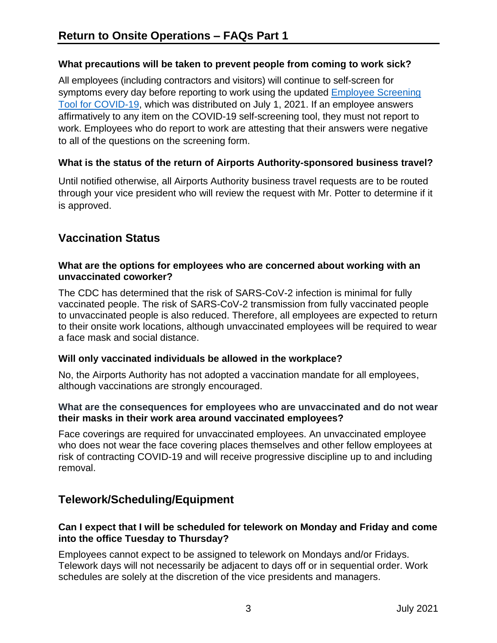## **What precautions will be taken to prevent people from coming to work sick?**

All employees (including contractors and visitors) will continue to self-screen for symptoms every day before reporting to work using the updated [Employee Screening](https://compass.mwaa.com/HR/Documents/COVID-19%20Docs/EmployeeSelfScreeningToolforCOVID-19_2021_0701.pdf)  [Tool for COVID-19,](https://compass.mwaa.com/HR/Documents/COVID-19%20Docs/EmployeeSelfScreeningToolforCOVID-19_2021_0701.pdf) which was distributed on July 1, 2021. If an employee answers affirmatively to any item on the COVID-19 self-screening tool, they must not report to work. Employees who do report to work are attesting that their answers were negative to all of the questions on the screening form.

## **What is the status of the return of Airports Authority-sponsored business travel?**

Until notified otherwise, all Airports Authority business travel requests are to be routed through your vice president who will review the request with Mr. Potter to determine if it is approved.

## **Vaccination Status**

#### **What are the options for employees who are concerned about working with an unvaccinated coworker?**

The CDC has determined that the risk of SARS-CoV-2 infection is minimal for fully vaccinated people. The risk of SARS-CoV-2 transmission from fully vaccinated people to unvaccinated people is also reduced. Therefore, all employees are expected to return to their onsite work locations, although unvaccinated employees will be required to wear a face mask and social distance.

## **Will only vaccinated individuals be allowed in the workplace?**

No, the Airports Authority has not adopted a vaccination mandate for all employees, although vaccinations are strongly encouraged.

### **What are the consequences for employees who are unvaccinated and do not wear their masks in their work area around vaccinated employees?**

Face coverings are required for unvaccinated employees. An unvaccinated employee who does not wear the face covering places themselves and other fellow employees at risk of contracting COVID-19 and will receive progressive discipline up to and including removal.

## **Telework/Scheduling/Equipment**

## **Can I expect that I will be scheduled for telework on Monday and Friday and come into the office Tuesday to Thursday?**

Employees cannot expect to be assigned to telework on Mondays and/or Fridays. Telework days will not necessarily be adjacent to days off or in sequential order. Work schedules are solely at the discretion of the vice presidents and managers.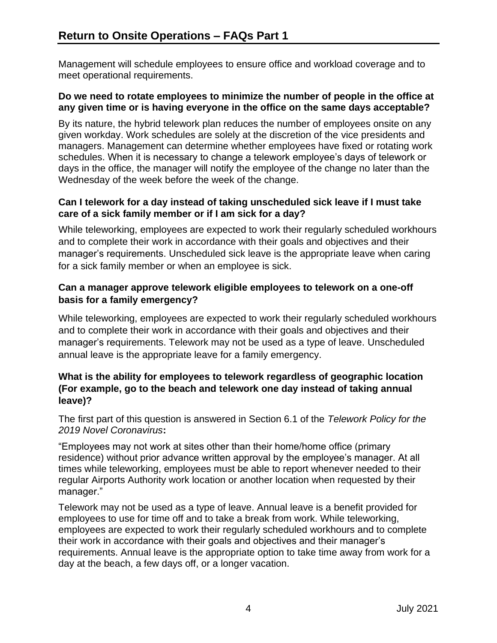Management will schedule employees to ensure office and workload coverage and to meet operational requirements.

#### **Do we need to rotate employees to minimize the number of people in the office at any given time or is having everyone in the office on the same days acceptable?**

By its nature, the hybrid telework plan reduces the number of employees onsite on any given workday. Work schedules are solely at the discretion of the vice presidents and managers. Management can determine whether employees have fixed or rotating work schedules. When it is necessary to change a telework employee's days of telework or days in the office, the manager will notify the employee of the change no later than the Wednesday of the week before the week of the change.

### **Can I telework for a day instead of taking unscheduled sick leave if I must take care of a sick family member or if I am sick for a day?**

While teleworking, employees are expected to work their regularly scheduled workhours and to complete their work in accordance with their goals and objectives and their manager's requirements. Unscheduled sick leave is the appropriate leave when caring for a sick family member or when an employee is sick.

## **Can a manager approve telework eligible employees to telework on a one-off basis for a family emergency?**

While teleworking, employees are expected to work their regularly scheduled workhours and to complete their work in accordance with their goals and objectives and their manager's requirements. Telework may not be used as a type of leave. Unscheduled annual leave is the appropriate leave for a family emergency.

## **What is the ability for employees to telework regardless of geographic location (For example, go to the beach and telework one day instead of taking annual leave)?**

The first part of this question is answered in Section 6.1 of the *Telework Policy for the 2019 Novel Coronavirus***:**

"Employees may not work at sites other than their home/home office (primary residence) without prior advance written approval by the employee's manager. At all times while teleworking, employees must be able to report whenever needed to their regular Airports Authority work location or another location when requested by their manager."

Telework may not be used as a type of leave. Annual leave is a benefit provided for employees to use for time off and to take a break from work. While teleworking, employees are expected to work their regularly scheduled workhours and to complete their work in accordance with their goals and objectives and their manager's requirements. Annual leave is the appropriate option to take time away from work for a day at the beach, a few days off, or a longer vacation.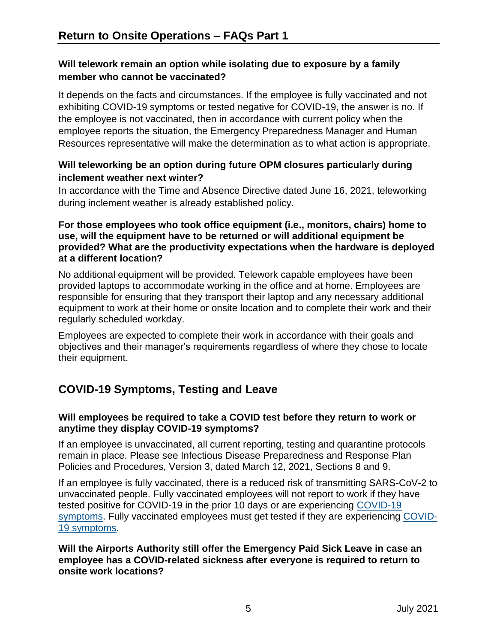## **Will telework remain an option while isolating due to exposure by a family member who cannot be vaccinated?**

It depends on the facts and circumstances. If the employee is fully vaccinated and not exhibiting COVID-19 symptoms or tested negative for COVID-19, the answer is no. If the employee is not vaccinated, then in accordance with current policy when the employee reports the situation, the Emergency Preparedness Manager and Human Resources representative will make the determination as to what action is appropriate.

## **Will teleworking be an option during future OPM closures particularly during inclement weather next winter?**

In accordance with the Time and Absence Directive dated June 16, 2021, teleworking during inclement weather is already established policy.

#### **For those employees who took office equipment (i.e., monitors, chairs) home to use, will the equipment have to be returned or will additional equipment be provided? What are the productivity expectations when the hardware is deployed at a different location?**

No additional equipment will be provided. Telework capable employees have been provided laptops to accommodate working in the office and at home. Employees are responsible for ensuring that they transport their laptop and any necessary additional equipment to work at their home or onsite location and to complete their work and their regularly scheduled workday.

Employees are expected to complete their work in accordance with their goals and objectives and their manager's requirements regardless of where they chose to locate their equipment.

# **COVID-19 Symptoms, Testing and Leave**

## **Will employees be required to take a COVID test before they return to work or anytime they display COVID-19 symptoms?**

If an employee is unvaccinated, all current reporting, testing and quarantine protocols remain in place. Please see Infectious Disease Preparedness and Response Plan Policies and Procedures, Version 3, dated March 12, 2021, Sections 8 and 9.

If an employee is fully vaccinated, there is a reduced risk of transmitting SARS-CoV-2 to unvaccinated people. Fully vaccinated employees will not report to work if they have tested positive for COVID-19 in the prior 10 days or are experiencing [COVID-19](https://www.cdc.gov/coronavirus/2019-ncov/symptoms-testing/symptoms.html)  [symptoms.](https://www.cdc.gov/coronavirus/2019-ncov/symptoms-testing/symptoms.html) Fully vaccinated employees must get tested if they are experiencing [COVID-](https://www.cdc.gov/coronavirus/2019-ncov/symptoms-testing/symptoms.html)[19 symptoms.](https://www.cdc.gov/coronavirus/2019-ncov/symptoms-testing/symptoms.html)

### **Will the Airports Authority still offer the Emergency Paid Sick Leave in case an employee has a COVID-related sickness after everyone is required to return to onsite work locations?**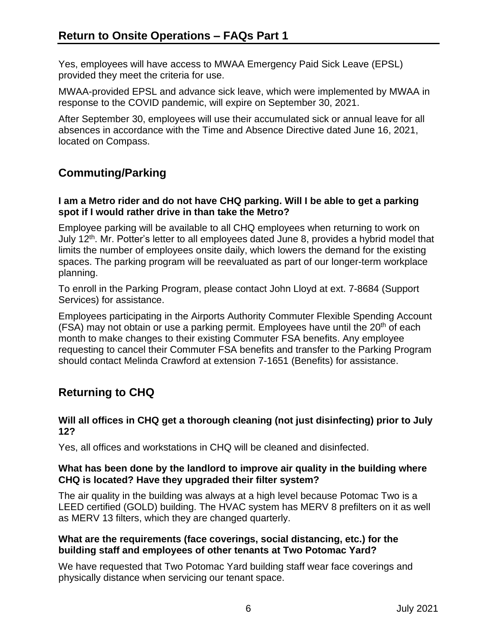Yes, employees will have access to MWAA Emergency Paid Sick Leave (EPSL) provided they meet the criteria for use.

MWAA-provided EPSL and advance sick leave, which were implemented by MWAA in response to the COVID pandemic, will expire on September 30, 2021.

After September 30, employees will use their accumulated sick or annual leave for all absences in accordance with the Time and Absence Directive dated June 16, 2021, located on Compass.

## **Commuting/Parking**

#### **I am a Metro rider and do not have CHQ parking. Will I be able to get a parking spot if I would rather drive in than take the Metro?**

Employee parking will be available to all CHQ employees when returning to work on July 12<sup>th</sup>. Mr. Potter's letter to all employees dated June 8, provides a hybrid model that limits the number of employees onsite daily, which lowers the demand for the existing spaces. The parking program will be reevaluated as part of our longer-term workplace planning.

To enroll in the Parking Program, please contact John Lloyd at ext. 7-8684 (Support Services) for assistance.

Employees participating in the Airports Authority Commuter Flexible Spending Account (FSA) may not obtain or use a parking permit. Employees have until the  $20<sup>th</sup>$  of each month to make changes to their existing Commuter FSA benefits. Any employee requesting to cancel their Commuter FSA benefits and transfer to the Parking Program should contact Melinda Crawford at extension 7-1651 (Benefits) for assistance.

# **Returning to CHQ**

#### **Will all offices in CHQ get a thorough cleaning (not just disinfecting) prior to July 12?**

Yes, all offices and workstations in CHQ will be cleaned and disinfected.

#### **What has been done by the landlord to improve air quality in the building where CHQ is located? Have they upgraded their filter system?**

The air quality in the building was always at a high level because Potomac Two is a LEED certified (GOLD) building. The HVAC system has MERV 8 prefilters on it as well as MERV 13 filters, which they are changed quarterly.

#### **What are the requirements (face coverings, social distancing, etc.) for the building staff and employees of other tenants at Two Potomac Yard?**

We have requested that Two Potomac Yard building staff wear face coverings and physically distance when servicing our tenant space.